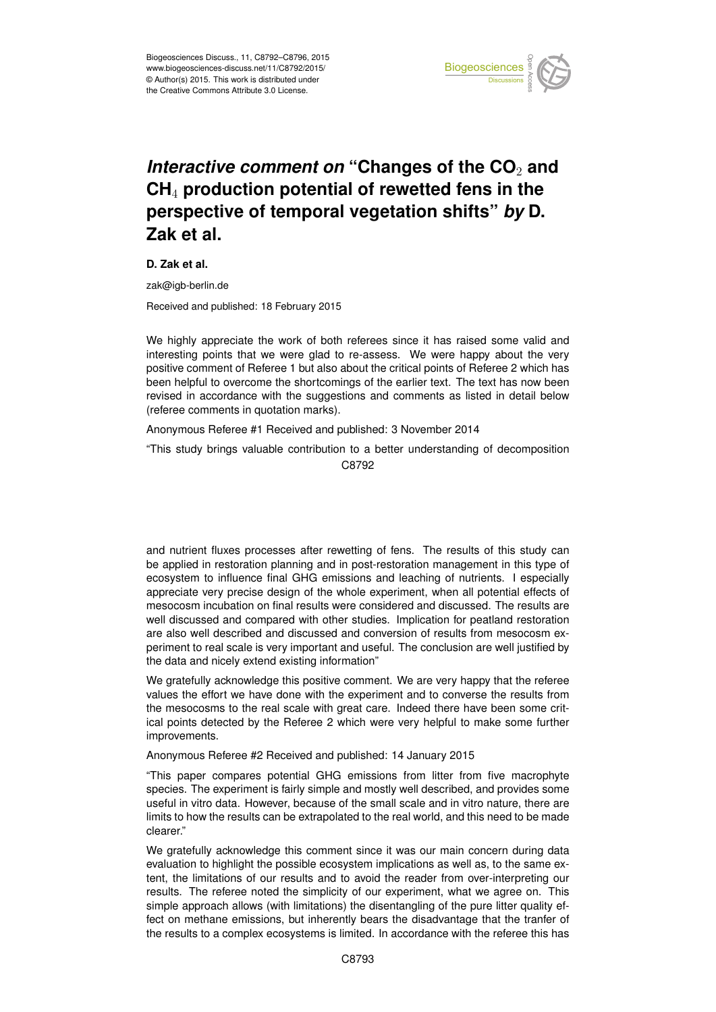

## *Interactive comment on* "Changes of the CO<sub>2</sub> and **CH**<sup>4</sup> **production potential of rewetted fens in the perspective of temporal vegetation shifts"** *by* **D. Zak et al.**

**D. Zak et al.**

zak@igb-berlin.de

Received and published: 18 February 2015

We highly appreciate the work of both referees since it has raised some valid and interesting points that we were glad to re-assess. We were happy about the very positive comment of Referee 1 but also about the critical points of Referee 2 which has been helpful to overcome the shortcomings of the earlier text. The text has now been revised in accordance with the suggestions and comments as listed in detail below (referee comments in quotation marks).

Anonymous Referee #1 Received and published: 3 November 2014

"This study brings valuable contribution to a better understanding of decomposition C8792

and nutrient fluxes processes after rewetting of fens. The results of this study can be applied in restoration planning and in post-restoration management in this type of ecosystem to influence final GHG emissions and leaching of nutrients. I especially appreciate very precise design of the whole experiment, when all potential effects of mesocosm incubation on final results were considered and discussed. The results are well discussed and compared with other studies. Implication for peatland restoration are also well described and discussed and conversion of results from mesocosm experiment to real scale is very important and useful. The conclusion are well justified by the data and nicely extend existing information"

We gratefully acknowledge this positive comment. We are very happy that the referee values the effort we have done with the experiment and to converse the results from the mesocosms to the real scale with great care. Indeed there have been some critical points detected by the Referee 2 which were very helpful to make some further improvements.

Anonymous Referee #2 Received and published: 14 January 2015

"This paper compares potential GHG emissions from litter from five macrophyte species. The experiment is fairly simple and mostly well described, and provides some useful in vitro data. However, because of the small scale and in vitro nature, there are limits to how the results can be extrapolated to the real world, and this need to be made clearer."

We gratefully acknowledge this comment since it was our main concern during data evaluation to highlight the possible ecosystem implications as well as, to the same extent, the limitations of our results and to avoid the reader from over-interpreting our results. The referee noted the simplicity of our experiment, what we agree on. This simple approach allows (with limitations) the disentangling of the pure litter quality effect on methane emissions, but inherently bears the disadvantage that the tranfer of the results to a complex ecosystems is limited. In accordance with the referee this has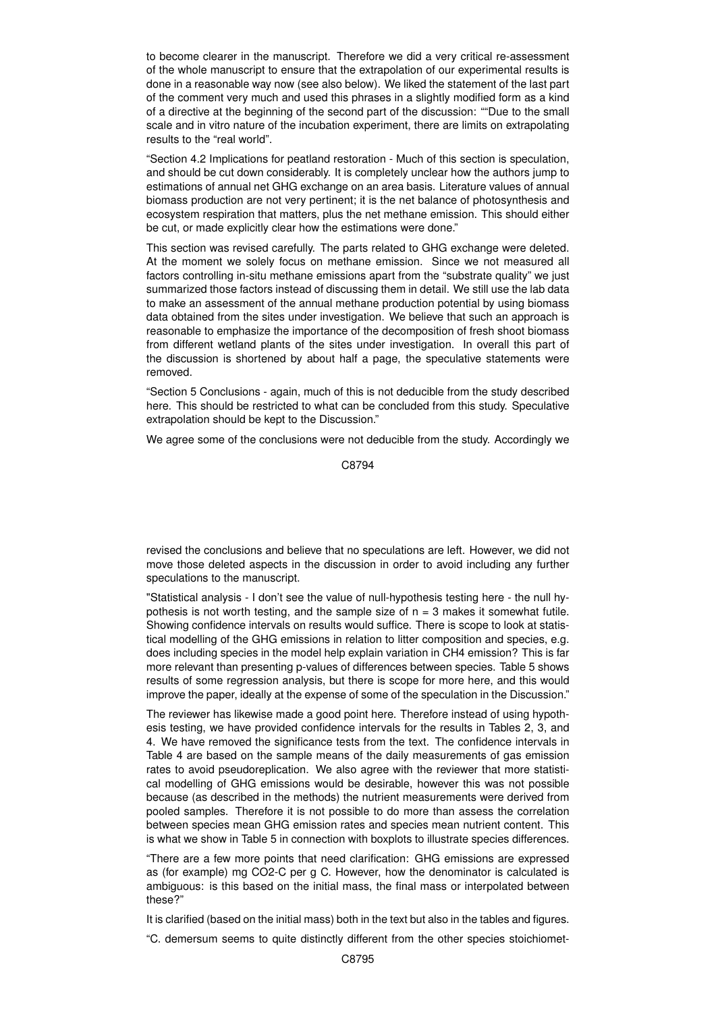to become clearer in the manuscript. Therefore we did a very critical re-assessment of the whole manuscript to ensure that the extrapolation of our experimental results is done in a reasonable way now (see also below). We liked the statement of the last part of the comment very much and used this phrases in a slightly modified form as a kind of a directive at the beginning of the second part of the discussion: ""Due to the small scale and in vitro nature of the incubation experiment, there are limits on extrapolating results to the "real world".

"Section 4.2 Implications for peatland restoration - Much of this section is speculation, and should be cut down considerably. It is completely unclear how the authors jump to estimations of annual net GHG exchange on an area basis. Literature values of annual biomass production are not very pertinent; it is the net balance of photosynthesis and ecosystem respiration that matters, plus the net methane emission. This should either be cut, or made explicitly clear how the estimations were done."

This section was revised carefully. The parts related to GHG exchange were deleted. At the moment we solely focus on methane emission. Since we not measured all factors controlling in-situ methane emissions apart from the "substrate quality" we just summarized those factors instead of discussing them in detail. We still use the lab data to make an assessment of the annual methane production potential by using biomass data obtained from the sites under investigation. We believe that such an approach is reasonable to emphasize the importance of the decomposition of fresh shoot biomass from different wetland plants of the sites under investigation. In overall this part of the discussion is shortened by about half a page, the speculative statements were removed.

"Section 5 Conclusions - again, much of this is not deducible from the study described here. This should be restricted to what can be concluded from this study. Speculative extrapolation should be kept to the Discussion."

We agree some of the conclusions were not deducible from the study. Accordingly we

C8794

revised the conclusions and believe that no speculations are left. However, we did not move those deleted aspects in the discussion in order to avoid including any further speculations to the manuscript.

"Statistical analysis - I don't see the value of null-hypothesis testing here - the null hypothesis is not worth testing, and the sample size of  $n = 3$  makes it somewhat futile. Showing confidence intervals on results would suffice. There is scope to look at statistical modelling of the GHG emissions in relation to litter composition and species, e.g. does including species in the model help explain variation in CH4 emission? This is far more relevant than presenting p-values of differences between species. Table 5 shows results of some regression analysis, but there is scope for more here, and this would improve the paper, ideally at the expense of some of the speculation in the Discussion."

The reviewer has likewise made a good point here. Therefore instead of using hypothesis testing, we have provided confidence intervals for the results in Tables 2, 3, and 4. We have removed the significance tests from the text. The confidence intervals in Table 4 are based on the sample means of the daily measurements of gas emission rates to avoid pseudoreplication. We also agree with the reviewer that more statistical modelling of GHG emissions would be desirable, however this was not possible because (as described in the methods) the nutrient measurements were derived from pooled samples. Therefore it is not possible to do more than assess the correlation between species mean GHG emission rates and species mean nutrient content. This is what we show in Table 5 in connection with boxplots to illustrate species differences.

"There are a few more points that need clarification: GHG emissions are expressed as (for example) mg CO2-C per g C. However, how the denominator is calculated is ambiguous: is this based on the initial mass, the final mass or interpolated between these?"

It is clarified (based on the initial mass) both in the text but also in the tables and figures.

"C. demersum seems to quite distinctly different from the other species stoichiomet-